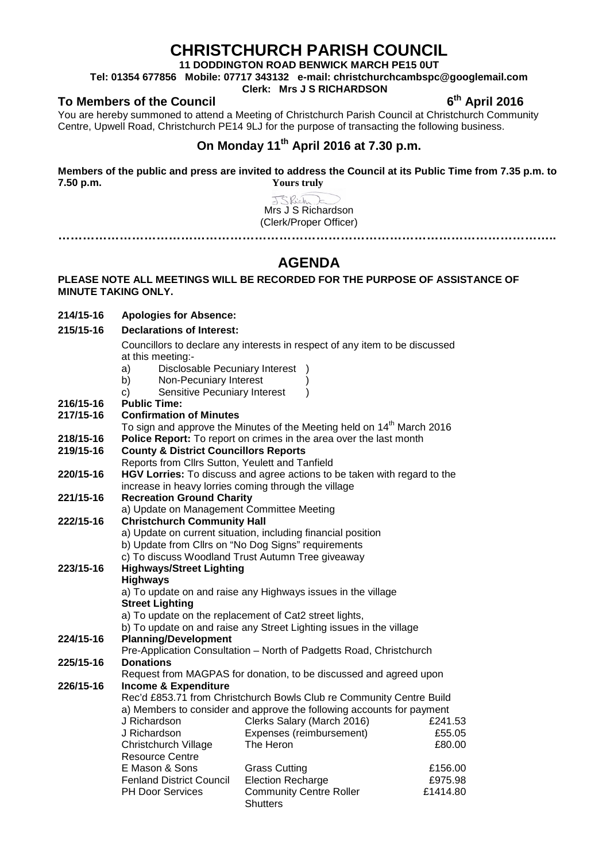# **CHRISTCHURCH PARISH COUNCIL**

**11 DODDINGTON ROAD BENWICK MARCH PE15 0UT**

**Tel: 01354 677856 Mobile: 07717 343132 e-mail: christchurchcambspc@googlemail.com**

### **Clerk: Mrs J S RICHARDSON**

**To Members of the Council <b>Council Council 6<sup>th</sup>** April 2016

**214/15-16 Apologies for Absence: 215/15-16 Declarations of Interest:**

You are hereby summoned to attend a Meeting of Christchurch Parish Council at Christchurch Community Centre, Upwell Road, Christchurch PE14 9LJ for the purpose of transacting the following business.

## **On Monday 11th April 2016 at 7.30 p.m.**

**Members of the public and press are invited to address the Council at its Public Time from 7.35 p.m. to 7.50 p.m. Yours truly**

JSRich E Mrs J S Richardson (Clerk/Proper Officer) **…………………………………………………………………………………………………………..**

# **AGENDA**

#### **PLEASE NOTE ALL MEETINGS WILL BE RECORDED FOR THE PURPOSE OF ASSISTANCE OF MINUTE TAKING ONLY.**

|                        | Councillors to declare any interests in respect of any item to be discussed                                                                              |                                                  |          |
|------------------------|----------------------------------------------------------------------------------------------------------------------------------------------------------|--------------------------------------------------|----------|
|                        | at this meeting:-                                                                                                                                        |                                                  |          |
|                        | Disclosable Pecuniary Interest<br>a)                                                                                                                     |                                                  |          |
|                        | Non-Pecuniary Interest<br>b)                                                                                                                             |                                                  |          |
|                        | Sensitive Pecuniary Interest<br>c)                                                                                                                       | $\lambda$                                        |          |
| 216/15-16              | <b>Public Time:</b>                                                                                                                                      |                                                  |          |
| 217/15-16              | <b>Confirmation of Minutes</b>                                                                                                                           |                                                  |          |
|                        | To sign and approve the Minutes of the Meeting held on 14 <sup>th</sup> March 2016<br>Police Report: To report on crimes in the area over the last month |                                                  |          |
| 218/15-16              |                                                                                                                                                          |                                                  |          |
| 219/15-16              | <b>County &amp; District Councillors Reports</b>                                                                                                         |                                                  |          |
|                        | Reports from Cllrs Sutton, Yeulett and Tanfield                                                                                                          |                                                  |          |
| 220/15-16              | HGV Lorries: To discuss and agree actions to be taken with regard to the                                                                                 |                                                  |          |
|                        | increase in heavy lorries coming through the village                                                                                                     |                                                  |          |
| 221/15-16              | <b>Recreation Ground Charity</b>                                                                                                                         |                                                  |          |
|                        | a) Update on Management Committee Meeting                                                                                                                |                                                  |          |
| 222/15-16              | <b>Christchurch Community Hall</b>                                                                                                                       |                                                  |          |
|                        | a) Update on current situation, including financial position                                                                                             |                                                  |          |
|                        | b) Update from Cllrs on "No Dog Signs" requirements                                                                                                      |                                                  |          |
|                        | c) To discuss Woodland Trust Autumn Tree giveaway                                                                                                        |                                                  |          |
| 223/15-16              | <b>Highways/Street Lighting</b>                                                                                                                          |                                                  |          |
|                        | <b>Highways</b>                                                                                                                                          |                                                  |          |
|                        | a) To update on and raise any Highways issues in the village                                                                                             |                                                  |          |
|                        | <b>Street Lighting</b>                                                                                                                                   |                                                  |          |
|                        | a) To update on the replacement of Cat2 street lights,                                                                                                   |                                                  |          |
|                        | b) To update on and raise any Street Lighting issues in the village                                                                                      |                                                  |          |
| 224/15-16              | <b>Planning/Development</b>                                                                                                                              |                                                  |          |
|                        | Pre-Application Consultation - North of Padgetts Road, Christchurch<br><b>Donations</b>                                                                  |                                                  |          |
| 225/15-16<br>226/15-16 |                                                                                                                                                          |                                                  |          |
|                        | Request from MAGPAS for donation, to be discussed and agreed upon<br><b>Income &amp; Expenditure</b>                                                     |                                                  |          |
|                        |                                                                                                                                                          |                                                  |          |
|                        | Rec'd £853.71 from Christchurch Bowls Club re Community Centre Build<br>a) Members to consider and approve the following accounts for payment            |                                                  |          |
|                        | J Richardson                                                                                                                                             | Clerks Salary (March 2016)                       | £241.53  |
|                        | J Richardson                                                                                                                                             | Expenses (reimbursement)                         | £55.05   |
|                        |                                                                                                                                                          | The Heron                                        |          |
|                        | Christchurch Village<br><b>Resource Centre</b>                                                                                                           |                                                  | £80.00   |
|                        | E Mason & Sons                                                                                                                                           |                                                  | £156.00  |
|                        | <b>Fenland District Council</b>                                                                                                                          | <b>Grass Cutting</b><br><b>Election Recharge</b> | £975.98  |
|                        | <b>PH Door Services</b>                                                                                                                                  | <b>Community Centre Roller</b>                   | £1414.80 |
|                        |                                                                                                                                                          | <b>Shutters</b>                                  |          |